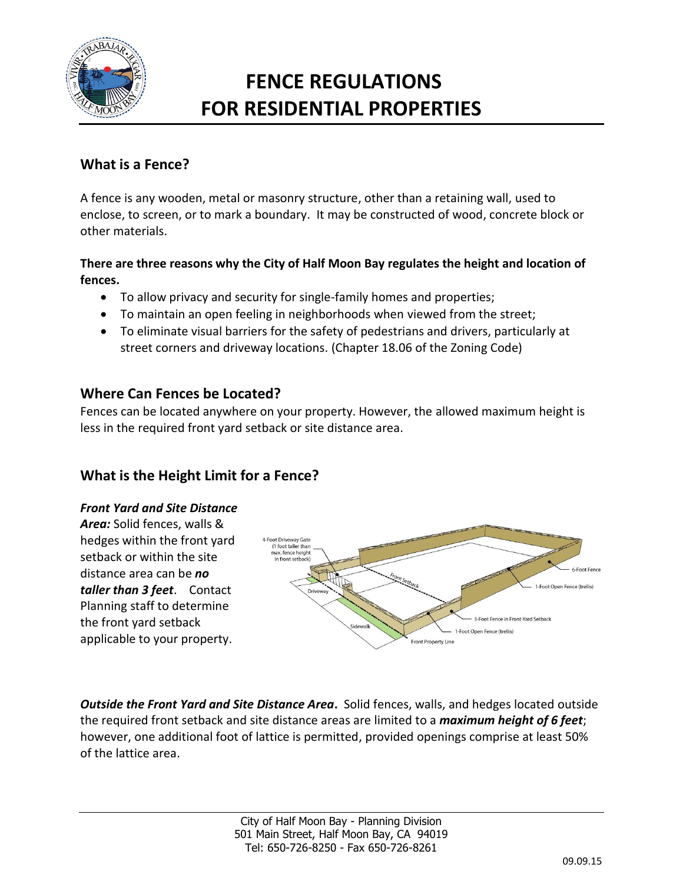

# **FENCE REGULATIONS FOR RESIDENTIAL PROPERTIES**

# **What is a Fence?**

A fence is any wooden, metal or masonry structure, other than a retaining wall, used to enclose, to screen, or to mark a boundary. It may be constructed of wood, concrete block or other materials.

#### **There are three reasons why the City of Half Moon Bay regulates the height and location of fences.**

- To allow privacy and security for single-family homes and properties;
- To maintain an open feeling in neighborhoods when viewed from the street;
- To eliminate visual barriers for the safety of pedestrians and drivers, particularly at street corners and driveway locations. (Chapter 18.06 of the Zoning Code)

### **Where Can Fences be Located?**

Fences can be located anywhere on your property. However, the allowed maximum height is less in the required front yard setback or site distance area.

# **What is the Height Limit for a Fence?**

#### *Front Yard and Site Distance*

*Area:* Solid fences, walls & hedges within the front yard setback or within the site distance area can be *no taller than 3 feet*. Contact Planning staff to determine the front yard setback applicable to your property.



*Outside the Front Yard and Site Distance Area***.** Solid fences, walls, and hedges located outside the required front setback and site distance areas are limited to a *maximum height of 6 feet*; however, one additional foot of lattice is permitted, provided openings comprise at least 50% of the lattice area.